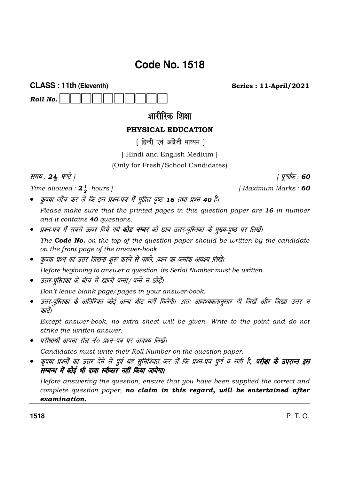# Code No. 1518

**CLASS: 11th (Eleventh)** 

शारीरिक शिक्षा

# PHYSICAL EDUCATION

[ हिन्दी एवं अंग्रेजी माध्यम ]

[Hindi and English Medium]

(Only for Fresh/School Candidates)

समय: 24 घण्टे |

Roll No.

Time allowed :  $2\frac{1}{2}$  hours ]

*। पूर्णांक* : 60 [Maximum Marks: 60

**Series: 11-April/2021** 

• कृपया जाँच कर लें कि इस प्रश्न-पत्र में मुद्रित पृष्ठ 16 तथा प्रश्न 40 हैं।

Please make sure that the printed pages in this question paper are 16 in number and it contains 40 questions.

• प्रश्न-पत्र में सबसे ऊपर दिये गये **कोड नम्बर** को छात्र उत्तर-पुस्तिका के मुख्य-पृष्ठ पर लिखें।

The **Code No.** on the top of the question paper should be written by the candidate on the front page of the answer-book.

• कृपया प्रश्न का उत्तर लिखना शुरू करने से पहले, प्रश्न का क्रमांक अवश्य लिखें।

Before beginning to answer a question, its Serial Number must be written.

• उत्तर-पुस्तिका के बीच में खाली पन्ना/ पन्ने न छोडें।

Don't leave blank page/pages in your answer-book.

• उत्तर-पुस्तिका के अतिरिक्त कोई अन्य शीट नहीं मिलेगी। अतः आवश्यकतानुसार ही लिखें और लिखा उत्तर न काटें।

Except answer-book, no extra sheet will be given. Write to the point and do not strike the written answer.

परीक्षार्थी अपना रोल नं० प्रश्न-पत्र पर अवश्य लिखें।

Candidates must write their Roll Number on the question paper.

• कृपया प्रश्नों का उत्तर देने से पूर्व यह सुनिश्चित कर लें कि प्रश्न-पत्र पूर्ण व सही है, **परीक्षा के उपरान्त इस** सम्बन्ध में कोई भी दावा स्वीकार नहीं किया जायेगा।

Before answering the question, ensure that you have been supplied the correct and complete question paper, no claim in this regard, will be entertained after examination.

1518

 $P. T. O.$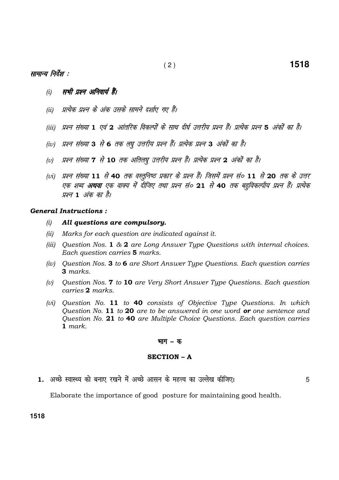## सामान्य निर्देश :

- सभी प्रश्न अनिवार्य हैं।  $(i)$
- (ii) प्रत्येक प्रश्न के अंक उसके सामने दर्शाए गए हैं।
- (iii) प्रश्न संख्या 1 एवं 2 आंतरिक विकल्पों के साथ दीर्घ उत्तरीय प्रश्न हैं। प्रत्येक प्रश्न 5 अंकों का है।
- (iv) प्रश्न संख्या 3 से 6 तक लघु उत्तरीय प्रश्न हैं। प्रत्येक प्रश्न 3 अंकों का है।
- (v) प्रश्न संख्या 7 से 10 तक अतिलघु उत्तरीय प्रश्न हैं। प्रत्येक प्रश्न 2 अंकों का है।
- (vi) प्रश्न संख्या 11 से 40 तक वस्तुनिष्ठ प्रकार के प्रश्न हैं। जिसमें प्रश्न सं० 11 से 20 तक के उत्तर एक शब्द **अथवा** एक वाक्य में दीजिए तथा प्रश्न सं० 21 से 40 तक बहविकल्पीय प्रश्न हैं। प्रत्येक प्रश्न 1 अंक का है।

#### **General Instructions:**

- All questions are compulsory.  $(i)$
- $(ii)$ Marks for each question are indicated against it.
- (iii) Question Nos. 1 & 2 are Long Answer Type Questions with internal choices. Each question carries 5 marks.
- (iv) Question Nos. 3 to 6 are Short Answer Type Questions. Each question carries 3 marks.
- Question Nos. 7 to 10 are Very Short Answer Type Questions. Each question  $(v)$ carries 2 marks.
- (vi) Question No. 11 to 40 consists of Objective Type Questions. In which Question No. 11 to 20 are to be answered in one word or one sentence and Question No. 21 to 40 are Multiple Choice Questions. Each question carries  $1$  mark.

#### **भाग – क**

#### **SECTION - A**

1. अच्छे स्वास्थ्य को बनाए रखने में अच्छे आसन के महत्त्व का उल्लेख कीजिए।

5

1518

Elaborate the importance of good posture for maintaining good health.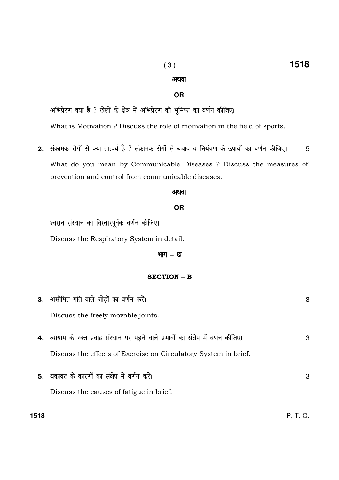#### $(3)$

# **OR**

अथवा

अभिप्रेरण क्या है ? खेलों के क्षेत्र में अभिप्रेरण की भूमिका का वर्णन कीजिए।

What is Motivation ? Discuss the role of motivation in the field of sports.

2. संक्रामक रोगों से क्या तात्पर्य है ? संक्रामक रोगों से बचाव व नियंत्रण के उपायों का वर्णन कीजिए। 5 What do you mean by Communicable Diseases ? Discuss the measures of prevention and control from communicable diseases.

#### अथवा

#### **OR**

श्वसन संस्थान का विस्तारपूर्वक वर्णन कीजिए।

1518

Discuss the Respiratory System in detail.

#### भाग - ख

#### **SECTION - B**

|     | 3. असीमित गति वाले जोड़ों का वर्णन करें।                                             | 3 |
|-----|--------------------------------------------------------------------------------------|---|
|     | Discuss the freely movable joints.                                                   |   |
|     | 4. व्यायाम के रक्त प्रवाह संस्थान पर पड़ने वाले प्रभावों का संक्षेप में वर्णन कीजिए। | 3 |
|     | Discuss the effects of Exercise on Circulatory System in brief.                      |   |
|     | 5. थकावट के कारणों का संक्षेप में वर्णन करें।                                        | 3 |
|     | Discuss the causes of fatigue in brief.                                              |   |
| 518 |                                                                                      |   |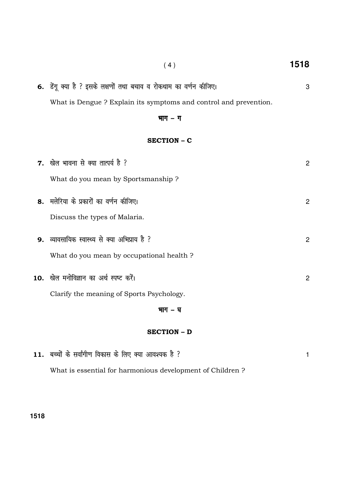| <b>6.</b> डेंगू क्या है ? इसके लक्षणों तथा बचाव व रोकथाम का वर्णन कीजिए। |
|--------------------------------------------------------------------------|
| What is Dengue? Explain its symptoms and control and prevention.         |

### भाग - ग

 $(4)$ 

1518

 $\overline{3}$ 

#### **SECTION - C**

| भाग – घ                                       |   |
|-----------------------------------------------|---|
| Clarify the meaning of Sports Psychology.     |   |
| 10. खेल मनोविज्ञान का अर्थ स्पष्ट करें।       | 2 |
| What do you mean by occupational health?      |   |
| 9. व्यावसायिक स्वास्थ्य से क्या अभिप्राय है ? | 2 |
| Discuss the types of Malaria.                 |   |
| 8. मलेरिया के प्रकारों का वर्णन कीजिए।        | 2 |
| What do you mean by Sportsmanship?            |   |
| 7. खेल भावना से क्या तात्पर्य है ?            | 2 |

#### **SECTION - D**

| 11. बच्चों के सर्वांगीण विकास के लिए क्या आवश्यक है ?     |  |
|-----------------------------------------------------------|--|
| What is essential for harmonious development of Children? |  |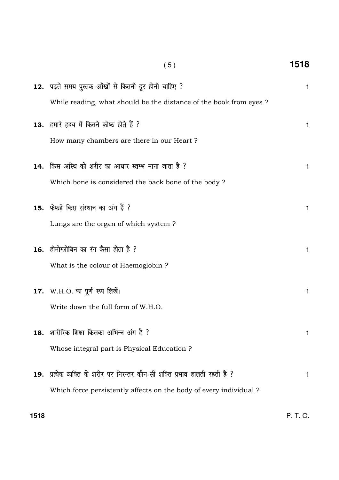| (5)                                                                                                                                              | 1518         |
|--------------------------------------------------------------------------------------------------------------------------------------------------|--------------|
| 12. पढ़ते समय पुस्तक आँखों से कितनी दूर होनी चाहिए ?<br>While reading, what should be the distance of the book from eyes?                        | $\mathbf{1}$ |
| 13. हमारे हृदय में कितने कोष्ठ होते हैं ?<br>How many chambers are there in our Heart?                                                           | 1            |
| 14. किस अस्थि को शरीर का आधार स्तम्भ माना जाता है ?<br>Which bone is considered the back bone of the body?                                       | 1            |
| 15. फेफड़े किस संस्थान का अंग हैं ?<br>Lungs are the organ of which system?                                                                      | 1            |
| 16. हीमोग्लोबिन का रंग कैसा होता है ?<br>What is the colour of Haemoglobin?                                                                      | 1            |
| 17. W.H.O. का पूर्ण रूप लिखें।<br>Write down the full form of W.H.O.                                                                             | 1            |
| 18. शारीरिक शिक्षा किसका अभिन्न अंग है ?<br>Whose integral part is Physical Education?                                                           | 1            |
| 19. प्रत्येक व्यक्ति के शरीर पर निरन्तर कौन-सी शक्ति प्रभाव डालती रहती है ?<br>Which force persistently affects on the body of every individual? | 1            |
|                                                                                                                                                  |              |

P. T. O.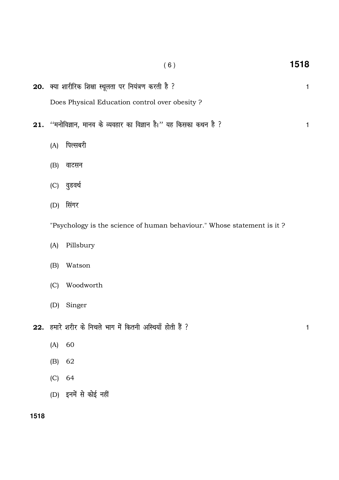|     |     | (6)                                                                    | 1518 |
|-----|-----|------------------------------------------------------------------------|------|
|     |     | 20. क्या शारीरिक शिक्षा स्थूलता पर नियंत्रण करती है ?                  | 1    |
|     |     | Does Physical Education control over obesity ?                         |      |
| 21. |     | ''मनोविज्ञान, मानव के व्यवहार का विज्ञान है।'' यह किसका कथन है ?       | 1    |
|     | (A) | पिल्सबरी                                                               |      |
|     | (B) | वाटसन                                                                  |      |
|     | (C) | वुडवर्थ                                                                |      |
|     | (D) | सिंगर                                                                  |      |
|     |     | "Psychology is the science of human behaviour." Whose statement is it? |      |
|     | (A) | Pillsbury                                                              |      |
|     | (B) | Watson                                                                 |      |
|     | (C) | Woodworth                                                              |      |
|     | (D) | Singer                                                                 |      |
|     |     | 22. हमारे शरीर के निचले भाग में कितनी अस्थियाँ होती हैं ?              | 1    |
|     | (A) | 60                                                                     |      |
|     | (B) | 62                                                                     |      |
|     | (C) | 64                                                                     |      |
|     |     | (D) इनमें से कोई नहीं                                                  |      |

1518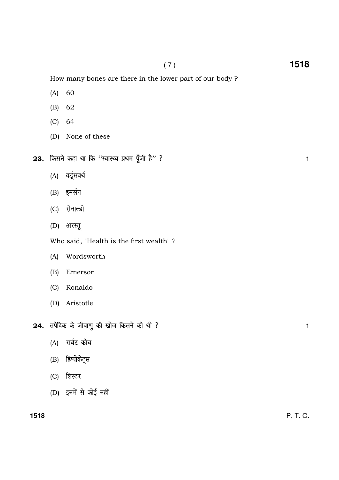How many bones are there in the lower part of our body ?

- (A) 60
- (B) 62
- (C) 64
- (D) None of these
- $23.$  किसने कहा था कि ''स्वास्थ्य प्रथम पूँजी है'' ? बाल के बाद कर से प्रशासक कर बात है। 1
	- (A) वर्डूसवर्थ
	- (B) इमर्सन
	- (C) रोनाल्डो
	- (D) अरस्तू

Who said, "Health is the first wealth" ?

- (A) Wordsworth
- (B) Emerson
- (C) Ronaldo
- (D) Aristotle
- $24.$  तपेदिक के जीवाणु की खोज किसने की थी ?
	- (A) रार्बट कोच
	- (B) हिप्पोक्रेट्स
	- (C) लिस्टर
	- $(D)$  इनमें से कोई नहीं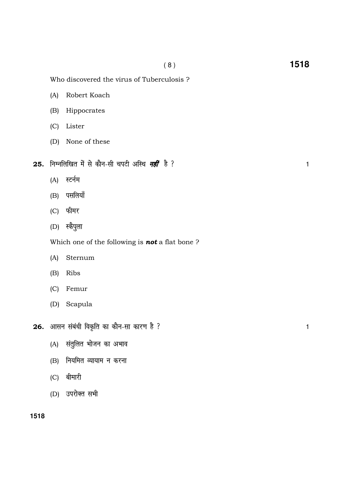$\mathbf{1}$ 

 $\mathbf{1}$ 

Who discovered the virus of Tuberculosis?

- $(A)$ Robert Koach
- $(B)$ Hippocrates
- (C) Lister
- (D) None of these
- 25. निम्नलिखित में से कौन-सी चपटी अस्थि नहीं है ?
	- (A) स्टर्नम
	- (B) पसलियाँ
	- (C) फीमर
	- (D) स्कैपुला

Which one of the following is **not** a flat bone?

- $(A)$ Sternum
- $(B)$ Ribs
- (C) Femur
- (D) Scapula
- 26. आसन संबंधी विकृति का कौन-सा कारण है ?
	- (A) संतुलित भोजन का अभाव
	- (B) नियमित व्यायाम न करना
	- (C) बीमारी
	- (D) उपरोक्त सभी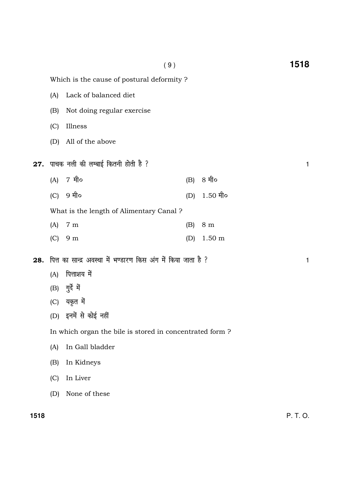|     | Which is the cause of postural deformity?                      |                                         |     |                  |   |
|-----|----------------------------------------------------------------|-----------------------------------------|-----|------------------|---|
|     | (A)                                                            | Lack of balanced diet                   |     |                  |   |
|     | (B)                                                            | Not doing regular exercise              |     |                  |   |
|     | (C)                                                            | Illness                                 |     |                  |   |
|     | (D)                                                            | All of the above                        |     |                  |   |
|     | <b>27.</b> पाचक नली की लम्बाई कितनी होती है ?                  |                                         |     |                  | 1 |
|     | (A)                                                            | 7 मी०                                   | (B) | 8 मी०            |   |
|     | (C)                                                            | 9 मी०                                   | (D) | $1.50$ मी०       |   |
|     |                                                                | What is the length of Alimentary Canal? |     |                  |   |
|     | (A)                                                            | 7 <sub>m</sub>                          | (B) | 8 <sub>m</sub>   |   |
|     | (C)                                                            | 9 <sub>m</sub>                          | (D) | $1.50 \text{ m}$ |   |
| 28. | पित्त का सान्द्र अवस्था में भण्डारण किस अंग में किया जाता है ? |                                         |     |                  | 1 |
|     | (A)                                                            | पित्ताशय में                            |     |                  |   |
|     | (B)                                                            | गुर्दे में                              |     |                  |   |
|     | (C)                                                            | यकृत में                                |     |                  |   |
|     |                                                                | (D) इनमें से कोई नहीं                   |     |                  |   |
|     | In which organ the bile is stored in concentrated form?        |                                         |     |                  |   |
|     | (A)                                                            | In Gall bladder                         |     |                  |   |
|     | (B)                                                            | In Kidneys                              |     |                  |   |
|     | (C)                                                            | In Liver                                |     |                  |   |
|     | (D)                                                            | None of these                           |     |                  |   |
|     |                                                                |                                         |     |                  |   |

( 9 ) **1518**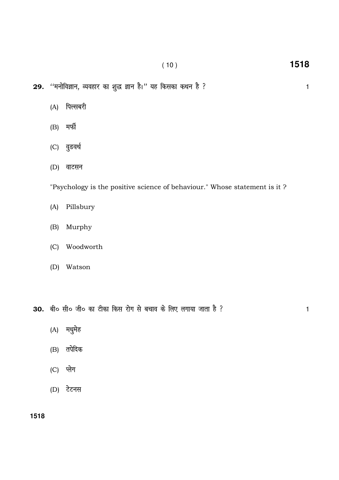- $29.$  ''मनोविज्ञान, व्यवहार का शुद्ध ज्ञान है।'' यह किसका कथन है ?
	- (A) पिल्सबरी
	- $(B)$  मर्फी
	- (C) वुडवर्थ
	- $(D)$  वाटसन

"Psychology is the positive science of behaviour." Whose statement is it ?

- (A) Pillsbury
- (B) Murphy
- (C) Woodworth
- (D) Watson

30. बी० सी० जी० का टीका किस रोग से बचाव के लिए लगाया जाता है ?

- $(A)$  मधुमेह
- $(B)$  तपेदिक
- $(C)$  प्लेग
- $(D)$  टेटनस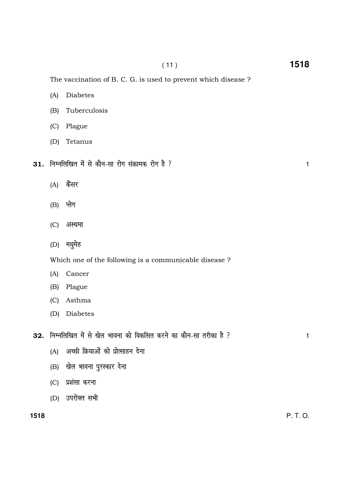$(11)$ 

 $\mathbf{1}$ 

The vaccination of B. C. G. is used to prevent which disease ?

- $(A)$ **Diabetes**
- Tuberculosis  $(B)$
- (C) Plague
- (D) Tetanus
- 31. निम्नलिखित में से कौन-सा रोग संक्रामक रोग है ?
	- (A) कैंसर
	- (B) प्लेग
	- (C) अस्थमा
	- (D) मधुमेह

Which one of the following is a communicable disease?

- Cancer  $(A)$
- $(B)$ Plague
- (C) Asthma
- (D) Diabetes
- 32. निम्नलिखित में से खेल भावना को विकसित करने का कौन-सा तरीका है ?
	- (A) अच्छी क्रियाओं को प्रोत्साहन देना
	- (B) खेल भावना पुरस्कार देना
	- (C) प्रशंसा करना
	- (D) उपरोक्त सभी

 $\mathbf{1}$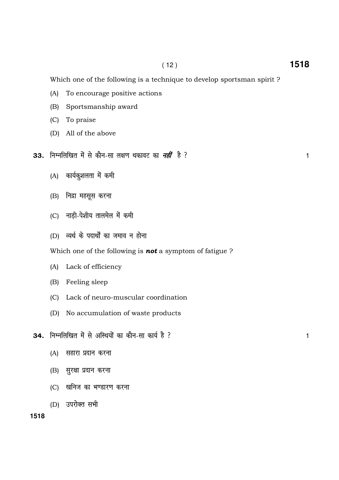Which one of the following is a technique to develop sportsman spirit ?

- (A) To encourage positive actions
- (B) Sportsmanship award
- (C) To praise
- (D) All of the above
- 33. fuEufyf[kr es a ls dkSu-lk y{k.k FkdkoV dk ugh <sup>a</sup>gS \ 1
	- (A) कार्यकुशलता में कमी
	- (B) निद्रा महसूस करना
	- (C) नाडी-पेशीय तालमेल में कमी
	- (D) व्यर्थ के पदार्थों का जमाव न होना

Which one of the following is **not** a symptom of fatigue ?

- (A) Lack of efficiency
- (B) Feeling sleep
- (C) Lack of neuro-muscular coordination
- (D) No accumulation of waste products
- $34.$  निम्नलिखित में से अस्थियों का कौन-सा कार्य है ?  $\,$ 
	- $(A)$  सहारा प्रदान करना
	- (B) सुरक्षा प्रदान करना
	- (C) खनिज का भण्डारण करना
	- (D) उपरोक्त सभी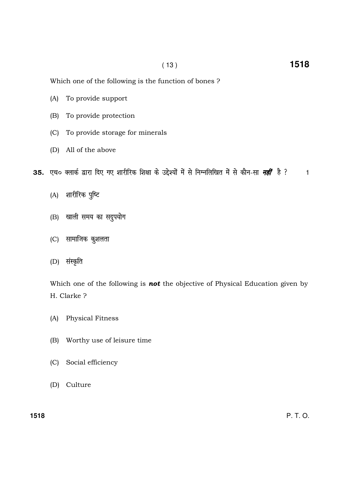Which one of the following is the function of bones?

- To provide support  $(A)$
- $(B)$ To provide protection
- $(C)$ To provide storage for minerals
- (D) All of the above

35. एच० क्लार्क द्वारा दिए गए शारीरिक शिक्षा के उद्देश्यों में से निम्नलिखित में से कौन-सा *नहीं* है ?  $\mathbf{1}$ 

- (A) शारीरिक पुष्टि
- (B) खाली समय का सदुपयोग
- (C) सामाजिक कुशलता
- (D) संस्कृति

Which one of the following is not the objective of Physical Education given by H. Clarke ?

- $(A)$ Physical Fitness
- $(B)$ Worthy use of leisure time
- Social efficiency  $(C)$
- (D) Culture

1518

 $P. T. O.$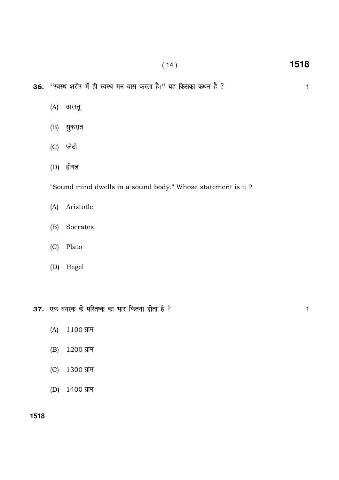( 14 ) **1518**

36. "स्वस्थ शरीर में ही स्वस्थ मन वास करता है।" यह किसका कथन है ?

- (A) अरस्तू
- (B) सुकरात
- (C) प्लेटो
- $(D)$  हीगल

"Sound mind dwells in a sound body." Whose statement is it ?

- (A) Aristotle
- (B) Socrates
- (C) Plato
- (D) Hegel

 $37.$  एक वयस्क के मस्तिष्क का भार कितना होता है ?

- $(A)$  1100 ग्राम
- $(B) 1200$  ग्राम
- $(C)$  1300 ग्राम
- $(D)$  1400 ग्राम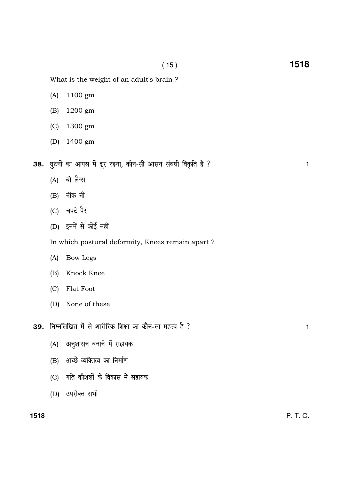What is the weight of an adult's brain ?

- (A) 1100 gm
- (B) 1200 gm
- (C) 1300 gm
- (D) 1400 gm

38. घुटनों का आपस में दूर रहना, कौन-सी आसन संबंधी विकृति है ?

- $(A)$  बो लैग्स
- $(B)$  नॉक नी
- $(C)$  चपटे पैर
- $(D)$  इनमें से कोई नहीं

In which postural deformity, Knees remain apart ?

- (A) Bow Legs
- (B) Knock Knee
- (C) Flat Foot
- (D) None of these
- 39. निम्नलिखित में से शारीरिक शिक्षा का कौन-सा महत्त्व है ? 2011 2011 2012 1
	- (A) अनुशासन बनाने में सहायक
	- (B) अच्छे व्यक्तित्व का निर्माण
	- (C) गति कौशलों के विकास में सहायक
	- (D) उपरोक्त सभी